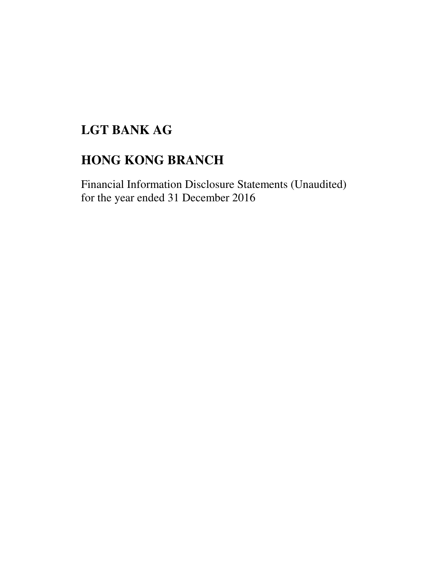# **LGT BANK AG**

# **HONG KONG BRANCH**

Financial Information Disclosure Statements (Unaudited) for the year ended 31 December 2016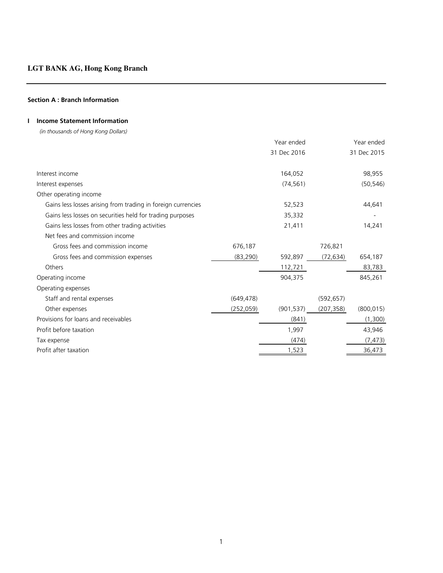# **Section A : Branch Information**

# **I Income Statement Information**

 *(in thousands of Hong Kong Dollars)*

|                                                              |            | Year ended  |            | Year ended  |
|--------------------------------------------------------------|------------|-------------|------------|-------------|
|                                                              |            | 31 Dec 2016 |            | 31 Dec 2015 |
| Interest income                                              |            | 164,052     |            | 98,955      |
| Interest expenses                                            |            | (74, 561)   |            | (50, 546)   |
| Other operating income                                       |            |             |            |             |
| Gains less losses arising from trading in foreign currencies |            | 52,523      |            | 44,641      |
| Gains less losses on securities held for trading purposes    |            | 35,332      |            |             |
| Gains less losses from other trading activities              |            | 21,411      |            | 14,241      |
| Net fees and commission income                               |            |             |            |             |
| Gross fees and commission income                             | 676,187    |             | 726,821    |             |
| Gross fees and commission expenses                           | (83, 290)  | 592,897     | (72, 634)  | 654,187     |
| Others                                                       |            | 112,721     |            | 83,783      |
| Operating income                                             |            | 904,375     |            | 845,261     |
| Operating expenses                                           |            |             |            |             |
| Staff and rental expenses                                    | (649, 478) |             | (592, 657) |             |
| Other expenses                                               | (252, 059) | (901, 537)  | (207, 358) | (800, 015)  |
| Provisions for loans and receivables                         |            | (841)       |            | (1,300)     |
| Profit before taxation                                       |            | 1,997       |            | 43,946      |
| Tax expense                                                  |            | (474)       |            | (7, 473)    |
| Profit after taxation                                        |            | 1,523       |            | 36,473      |
|                                                              |            |             |            |             |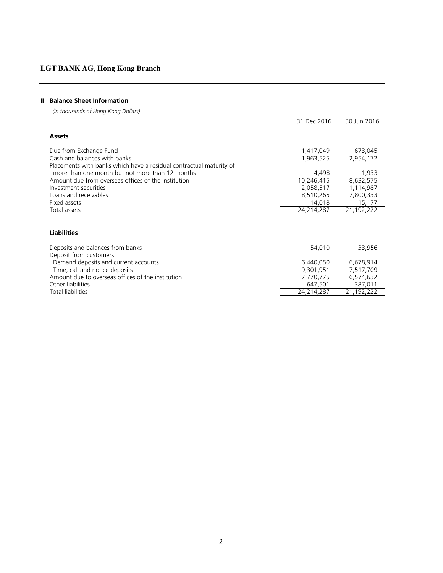# **II Balance Sheet Information**

 *(in thousands of Hong Kong Dollars)*

|                                                                     | 31 Dec 2016 | 30 Jun 2016 |
|---------------------------------------------------------------------|-------------|-------------|
| <b>Assets</b>                                                       |             |             |
| Due from Exchange Fund                                              | 1,417,049   | 673,045     |
| Cash and balances with banks                                        | 1,963,525   | 2,954,172   |
| Placements with banks which have a residual contractual maturity of |             |             |
| more than one month but not more than 12 months                     | 4,498       | 1,933       |
| Amount due from overseas offices of the institution                 | 10,246,415  | 8,632,575   |
| Investment securities                                               | 2,058,517   | 1,114,987   |
| Loans and receivables                                               | 8,510,265   | 7,800,333   |
| Fixed assets                                                        | 14,018      | 15,177      |
| Total assets                                                        | 24,214,287  | 21,192,222  |
|                                                                     |             |             |
| <b>Liabilities</b>                                                  |             |             |
| Deposits and balances from banks                                    | 54,010      | 33,956      |
| Deposit from customers                                              |             |             |
| Demand deposits and current accounts                                | 6,440,050   | 6,678,914   |
| Time, call and notice deposits                                      | 9,301,951   | 7,517,709   |
| Amount due to overseas offices of the institution                   | 7,770,775   | 6,574,632   |
| Other liabilities                                                   | 647,501     | 387,011     |
| <b>Total liabilities</b>                                            |             |             |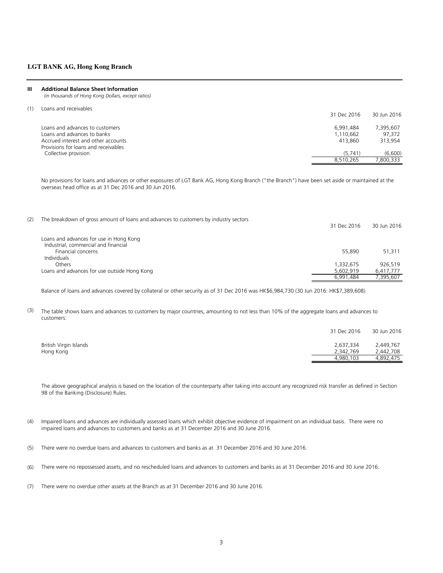#### **III Additional Balance Sheet Information**

 *(in thousands of Hong Kong Dollars, except ratios)*

(1) Loans and receivables

|                                      | 31 Dec 2016 | 30 Jun 2016 |
|--------------------------------------|-------------|-------------|
| Loans and advances to customers      | 6.991.484   | 7,395,607   |
| Loans and advances to banks          | 1.110.662   | 97.372      |
| Accrued interest and other accounts  | 413,860     | 313.954     |
| Provisions for loans and receivables |             |             |
| Collective provision                 | (5.741)     | (6.600)     |
|                                      | 8.510.265   | 800.333     |

No provisions for loans and advances or other exposures of LGT Bank AG, Hong Kong Branch ("the Branch") have been set aside or maintained at the overseas head office as at 31 Dec 2016 and 30 Jun 2016.

| (2) | The breakdown of gross amount of loans and advances to customers by industry sectors | 31 Dec 2016 | 30 Jun 2016 |
|-----|--------------------------------------------------------------------------------------|-------------|-------------|
|     | Loans and advances for use in Hong Kong                                              |             |             |
|     | Industrial, commercial and financial                                                 |             |             |
|     | Financial concerns                                                                   | 55,890      | 51.311      |
|     | <b>Individuals</b>                                                                   |             |             |
|     | Others                                                                               | 1,332,675   | 926.519     |
|     | Loans and advances for use outside Hong Kong                                         | 5.602.919   | 6,417,777   |
|     |                                                                                      | 6.991.484   | 7.395.607   |

Balance of loans and advances covered by collateral or other security as of 31 Dec 2016 was HK\$6,984,730 (30 Jun 2016: HK\$7,389,608).

(3) The table shows loans and advances to customers by major countries, amounting to not less than 10% of the aggregate loans and advances to customers:

|                        | 31 Dec 2016 | 30 Jun 2016 |
|------------------------|-------------|-------------|
| British Virgin Islands | 2,637,334   | 2.449.767   |
| Hong Kong              | 2.342.769   | 2.442.708   |
|                        | 4.980.103   | 4.892.475   |

The above geographical analysis is based on the location of the counterparty after taking into account any recognized risk transfer as defined in Section 98 of the Banking (Disclosure) Rules.

- (4) Impaired loans and advances are individually assessed loans which exhibit objective evidence of impairment on an individual basis. There were no impaired loans and advances to customers and banks as at 31 December 2016 and 30 June 2016.
- (5) There were no overdue loans and advances to customers and banks as at 31 December 2016 and 30 June 2016.
- (6) There were no repossessed assets, and no rescheduled loans and advances to customers and banks as at 31 December 2016 and 30 June 2016.
- (7) There were no overdue other assets at the Branch as at 31 December 2016 and 30 June 2016.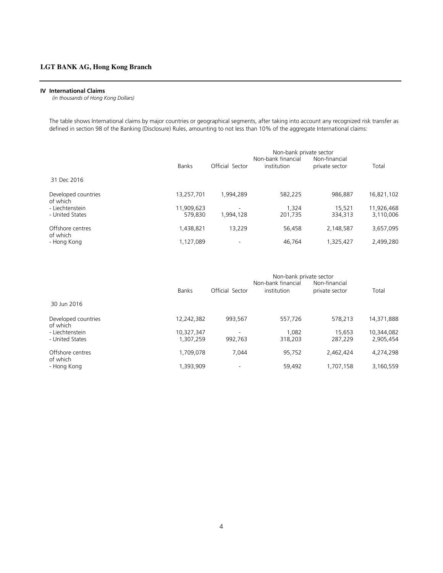#### **IV International Claims**

 *(in thousands of Hong Kong Dollars)*

The table shows International claims by major countries or geographical segments, after taking into account any recognized risk transfer as defined in section 98 of the Banking (Disclosure) Rules, amounting to not less than 10% of the aggregate International claims:

|                                 |              | Non-bank private sector<br>Non-bank financial<br>Non-financial |             |                |            |  |
|---------------------------------|--------------|----------------------------------------------------------------|-------------|----------------|------------|--|
|                                 | <b>Banks</b> | Official Sector                                                | institution | private sector | Total      |  |
| 31 Dec 2016                     |              |                                                                |             |                |            |  |
| Developed countries<br>of which | 13,257,701   | 1,994,289                                                      | 582,225     | 986.887        | 16,821,102 |  |
| - Liechtenstein                 | 11,909,623   | $\overline{\phantom{a}}$                                       | 1.324       | 15,521         | 11,926,468 |  |
| - United States                 | 579.830      | 1.994.128                                                      | 201,735     | 334,313        | 3,110,006  |  |
| Offshore centres<br>of which    | 1,438,821    | 13.229                                                         | 56,458      | 2,148,587      | 3,657,095  |  |
| - Hong Kong                     | 1,127,089    |                                                                | 46.764      | 1,325,427      | 2,499,280  |  |

|                                 |              | Non-bank private sector |                    |                |            |  |
|---------------------------------|--------------|-------------------------|--------------------|----------------|------------|--|
|                                 |              |                         | Non-bank financial | Non-financial  |            |  |
|                                 | <b>Banks</b> | Official Sector         | institution        | private sector | Total      |  |
| 30 Jun 2016                     |              |                         |                    |                |            |  |
| Developed countries<br>of which | 12,242,382   | 993,567                 | 557,726            | 578,213        | 14,371,888 |  |
| - Liechtenstein                 | 10,327,347   |                         | 1.082              | 15.653         | 10,344,082 |  |
| - United States                 | 1,307,259    | 992,763                 | 318,203            | 287,229        | 2,905,454  |  |
| Offshore centres<br>of which    | 1,709,078    | 7.044                   | 95,752             | 2,462,424      | 4,274,298  |  |
| - Hong Kong                     | 1,393,909    |                         | 59,492             | 1,707,158      | 3,160,559  |  |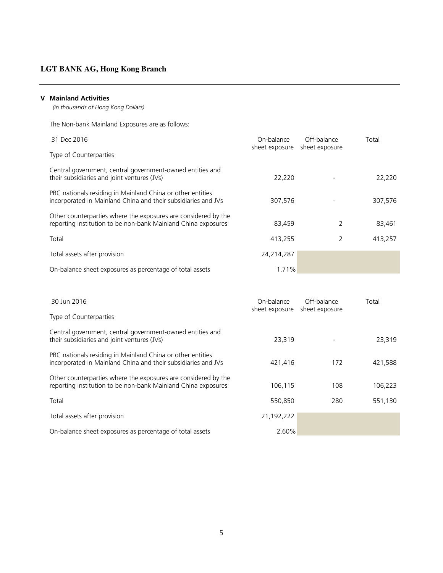# **V Mainland Activities**

 *(in thousands of Hong Kong Dollars)*

The Non-bank Mainland Exposures are as follows:

| 31 Dec 2016                                                                                                                     | On-balance<br>sheet exposure | Off-balance<br>sheet exposure | Total   |
|---------------------------------------------------------------------------------------------------------------------------------|------------------------------|-------------------------------|---------|
| Type of Counterparties                                                                                                          |                              |                               |         |
| Central government, central government-owned entities and<br>their subsidiaries and joint ventures (JVs)                        | 22.220                       |                               | 22,220  |
| PRC nationals residing in Mainland China or other entities<br>incorporated in Mainland China and their subsidiaries and JVs     | 307,576                      |                               | 307,576 |
| Other counterparties where the exposures are considered by the<br>reporting institution to be non-bank Mainland China exposures | 83,459                       | 2                             | 83,461  |
| Total                                                                                                                           | 413.255                      | 2                             | 413,257 |
| Total assets after provision                                                                                                    | 24,214,287                   |                               |         |
| On-balance sheet exposures as percentage of total assets                                                                        | 1.71%                        |                               |         |

| 30 Jun 2016                                                                                                                     | On-balance<br>sheet exposure | Off-balance<br>sheet exposure | Total   |
|---------------------------------------------------------------------------------------------------------------------------------|------------------------------|-------------------------------|---------|
| Type of Counterparties                                                                                                          |                              |                               |         |
| Central government, central government-owned entities and<br>their subsidiaries and joint ventures (JVs)                        | 23,319                       |                               | 23,319  |
| PRC nationals residing in Mainland China or other entities<br>incorporated in Mainland China and their subsidiaries and JVs     | 421,416                      | 172                           | 421,588 |
| Other counterparties where the exposures are considered by the<br>reporting institution to be non-bank Mainland China exposures | 106,115                      | 108                           | 106,223 |
| Total                                                                                                                           | 550,850                      | 280                           | 551,130 |
| Total assets after provision                                                                                                    | 21,192,222                   |                               |         |
| On-balance sheet exposures as percentage of total assets                                                                        | 2.60%                        |                               |         |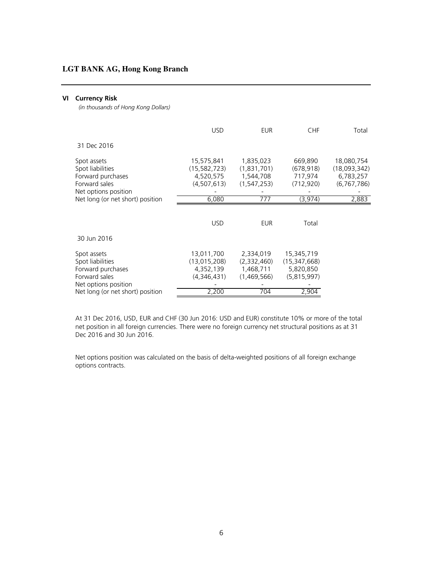## **VI Currency Risk**

 *(in thousands of Hong Kong Dollars)*

|                                                                                               | <b>USD</b>                                                 | <b>EUR</b>                                           | <b>CHF</b>                                               | Total                                                  |
|-----------------------------------------------------------------------------------------------|------------------------------------------------------------|------------------------------------------------------|----------------------------------------------------------|--------------------------------------------------------|
| 31 Dec 2016                                                                                   |                                                            |                                                      |                                                          |                                                        |
| Spot assets<br>Spot liabilities<br>Forward purchases<br>Forward sales<br>Net options position | 15,575,841<br>(15, 582, 723)<br>4,520,575<br>(4, 507, 613) | 1,835,023<br>(1,831,701)<br>1,544,708<br>(1,547,253) | 669,890<br>(678, 918)<br>717,974<br>(712, 920)           | 18,080,754<br>(18,093,342)<br>6,783,257<br>(6,767,786) |
| Net long (or net short) position                                                              | 6,080                                                      | 777                                                  | (3,974)                                                  | 2,883                                                  |
|                                                                                               | <b>USD</b>                                                 | <b>EUR</b>                                           | Total                                                    |                                                        |
| 30 Jun 2016                                                                                   |                                                            |                                                      |                                                          |                                                        |
| Spot assets<br>Spot liabilities<br>Forward purchases<br>Forward sales<br>Net options position | 13,011,700<br>(13,015,208)<br>4,352,139<br>(4,346,431)     | 2,334,019<br>(2,332,460)<br>1,468,711<br>(1,469,566) | 15,345,719<br>(15, 347, 668)<br>5,820,850<br>(5,815,997) |                                                        |
| Net long (or net short) position                                                              | 2,200                                                      | 704                                                  | 2,904                                                    |                                                        |

At 31 Dec 2016, USD, EUR and CHF (30 Jun 2016: USD and EUR) constitute 10% or more of the total net position in all foreign currencies. There were no foreign currency net structural positions as at 31 Dec 2016 and 30 Jun 2016.

Net options position was calculated on the basis of delta-weighted positions of all foreign exchange options contracts.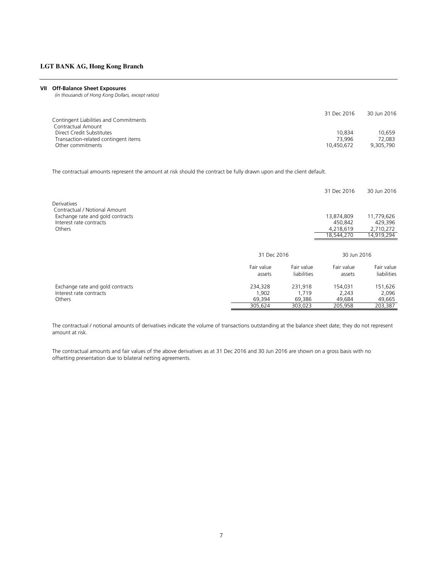#### **VII Off-Balance Sheet Exposures**

 *(in thousands of Hong Kong Dollars, except ratios)*

|                                        | 31 Dec 2016 | 30 Jun 2016 |
|----------------------------------------|-------------|-------------|
| Contingent Liabilities and Commitments |             |             |
| Contractual Amount                     |             |             |
| Direct Credit Substitutes              | 10.834      | 10.659      |
| Transaction-related contingent items   | 73.996      | 72.083      |
| Other commitments                      | 10,450,672  | 9.305.790   |

The contractual amounts represent the amount at risk should the contract be fully drawn upon and the client default.

|                                                                                         |                      |                           | 31 Dec 2016          | 30 Jun 2016               |
|-----------------------------------------------------------------------------------------|----------------------|---------------------------|----------------------|---------------------------|
| <b>Derivatives</b><br>Contractual / Notional Amount<br>Exchange rate and gold contracts |                      |                           | 13,874,809           | 11,779,626                |
| Interest rate contracts                                                                 |                      |                           | 450,842              | 429,396                   |
| Others                                                                                  |                      |                           | 4,218,619            | 2,710,272                 |
|                                                                                         |                      |                           | 18.544.270           | 14,919,294                |
|                                                                                         |                      |                           |                      |                           |
|                                                                                         | 31 Dec 2016          |                           | 30 Jun 2016          |                           |
|                                                                                         | Fair value<br>assets | Fair value<br>liabilities | Fair value<br>assets | Fair value<br>liabilities |
| Exchange rate and gold contracts                                                        | 234,328              | 231.918                   | 154,031              | 151,626                   |
| Interest rate contracts                                                                 | 1,902                | 1,719                     | 2,243                | 2,096                     |
| Others                                                                                  | 69,394               | 69,386                    | 49,684               | 49,665                    |
|                                                                                         | 305,624              | 303,023                   | 205,958              | 203,387                   |

The contractual / notional amounts of derivatives indicate the volume of transactions outstanding at the balance sheet date; they do not represent amount at risk.

The contractual amounts and fair values of the above derivatives as at 31 Dec 2016 and 30 Jun 2016 are shown on a gross basis with no offsetting presentation due to bilateral netting agreements.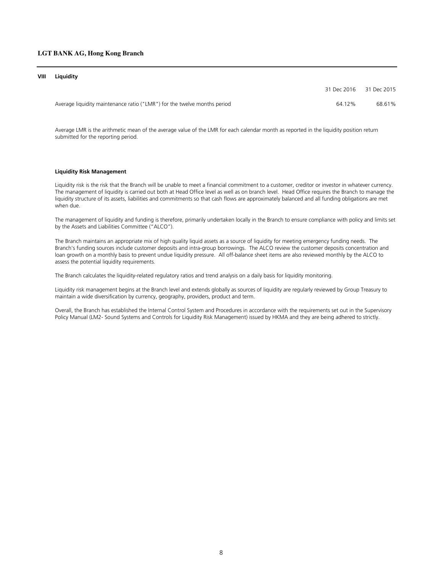#### **VIII Liquidity**

| 31 Dec 2016 31 Dec 2015                                                            |        |
|------------------------------------------------------------------------------------|--------|
| Average liquidity maintenance ratio ("LMR") for the twelve months period<br>64 12% | 68.61% |

Average LMR is the arithmetic mean of the average value of the LMR for each calendar month as reported in the liquidity position return submitted for the reporting period.

#### **Liquidity Risk Management**

Liquidity risk is the risk that the Branch will be unable to meet a financial commitment to a customer, creditor or investor in whatever currency. The management of liquidity is carried out both at Head Office level as well as on branch level. Head Office requires the Branch to manage the liquidity structure of its assets, liabilities and commitments so that cash flows are approximately balanced and all funding obligations are met when due.

The management of liquidity and funding is therefore, primarily undertaken locally in the Branch to ensure compliance with policy and limits set by the Assets and Liabilities Committee ("ALCO").

The Branch maintains an appropriate mix of high quality liquid assets as a source of liquidity for meeting emergency funding needs. The Branch's funding sources include customer deposits and intra-group borrowings. The ALCO review the customer deposits concentration and loan growth on a monthly basis to prevent undue liquidity pressure. All off-balance sheet items are also reviewed monthly by the ALCO to assess the potential liquidity requirements.

The Branch calculates the liquidity-related regulatory ratios and trend analysis on a daily basis for liquidity monitoring.

Liquidity risk management begins at the Branch level and extends globally as sources of liquidity are regularly reviewed by Group Treasury to maintain a wide diversification by currency, geography, providers, product and term.

Overall, the Branch has established the Internal Control System and Procedures in accordance with the requirements set out in the Supervisory Policy Manual (LM2- Sound Systems and Controls for Liquidity Risk Management) issued by HKMA and they are being adhered to strictly.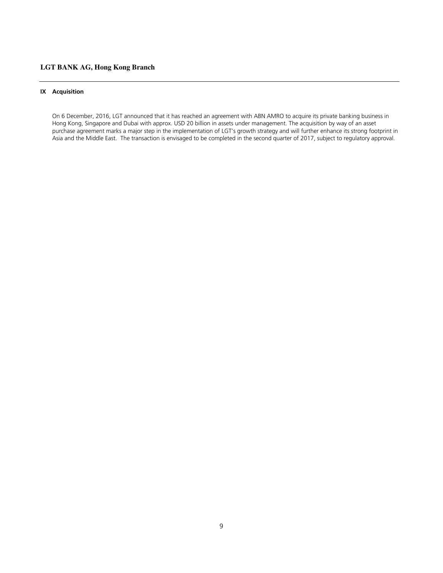## **IX Acquisition**

On 6 December, 2016, LGT announced that it has reached an agreement with ABN AMRO to acquire its private banking business in Hong Kong, Singapore and Dubai with approx. USD 20 billion in assets under management. The acquisition by way of an asset purchase agreement marks a major step in the implementation of LGT's growth strategy and will further enhance its strong footprint in Asia and the Middle East. The transaction is envisaged to be completed in the second quarter of 2017, subject to regulatory approval.